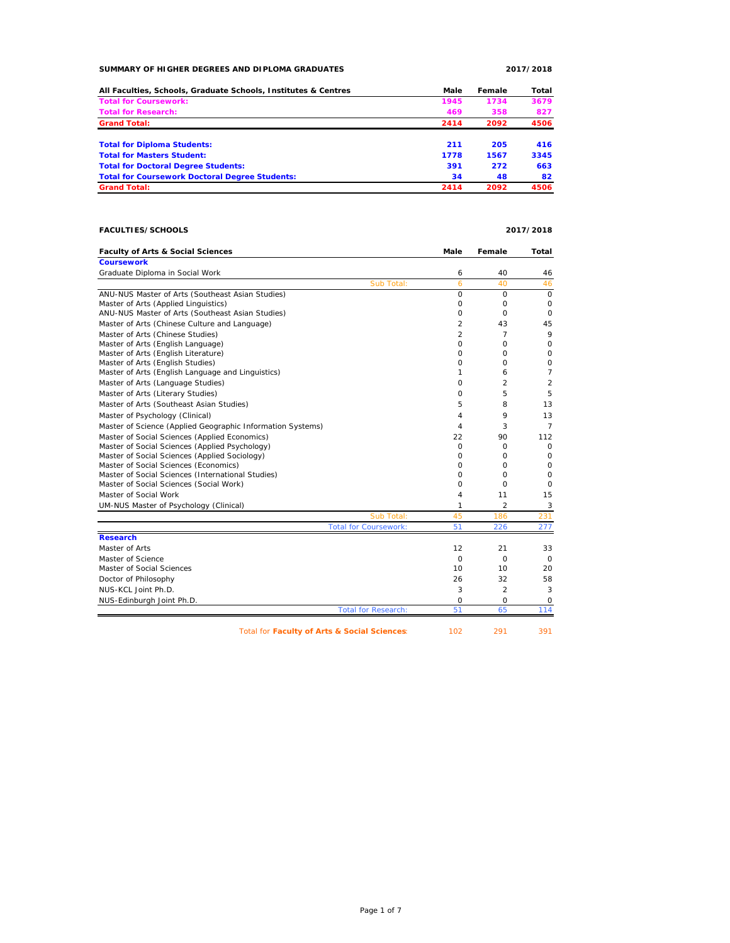### **SUMMARY OF HIGHER DEGREES AND DIPLOMA GRADUATES 2017/2018**

| All Faculties, Schools, Graduate Schools, Institutes & Centres | Male | Female | Total |
|----------------------------------------------------------------|------|--------|-------|
| <b>Total for Coursework:</b>                                   | 1945 | 1734   | 3679  |
| <b>Total for Research:</b>                                     | 469  | 358    | 827   |
| <b>Grand Total:</b>                                            | 2414 | 2092   | 4506  |
| <b>Total for Diploma Students:</b>                             | 211  | 205    | 416   |
| <b>Total for Masters Student:</b>                              | 1778 | 1567   | 3345  |
| <b>Total for Doctoral Degree Students:</b>                     | 391  | 272    | 663   |
| <b>Total for Coursework Doctoral Degree Students:</b>          | 34   | 48     | 82    |
| <b>Grand Total:</b>                                            | 2414 | 2092   | 4506  |

# **FACULTIES/SCHOOLS 2017/2018**

| <b>Faculty of Arts &amp; Social Sciences</b>               | Male            | Female         | Total          |
|------------------------------------------------------------|-----------------|----------------|----------------|
| <b>Coursework</b>                                          |                 |                |                |
| Graduate Diploma in Social Work                            | 6               | 40             | 46             |
| Sub Total:                                                 | 6               | 40             | 46             |
| ANU-NUS Master of Arts (Southeast Asian Studies)           | $\circ$         | $\circ$        | $\mathbf 0$    |
| Master of Arts (Applied Linguistics)                       | $\circ$         | 0              | 0              |
| ANU-NUS Master of Arts (Southeast Asian Studies)           | $\mathbf 0$     | $\circ$        | $\circ$        |
| Master of Arts (Chinese Culture and Language)              | 2               | 43             | 45             |
| Master of Arts (Chinese Studies)                           | $\overline{a}$  | $\overline{7}$ | 9              |
| Master of Arts (English Language)                          | O               | $\circ$        | $\mathbf 0$    |
| Master of Arts (English Literature)                        | 0               | $\Omega$       | $\mathsf O$    |
| Master of Arts (English Studies)                           | $\circ$         | $\circ$        | $\mathsf O$    |
| Master of Arts (English Language and Linguistics)          | 1               | 6              | $\overline{7}$ |
| Master of Arts (Language Studies)                          | $\Omega$        | $\mathfrak{p}$ | 2              |
| Master of Arts (Literary Studies)                          | $\circ$         | 5              | 5              |
| Master of Arts (Southeast Asian Studies)                   | 5               | 8              | 13             |
| Master of Psychology (Clinical)                            | 4               | 9              | 13             |
| Master of Science (Applied Geographic Information Systems) | 4               | 3              | $\overline{7}$ |
| Master of Social Sciences (Applied Economics)              | 22              | 90             | 112            |
| Master of Social Sciences (Applied Psychology)             | $\circ$         | 0              | 0              |
| Master of Social Sciences (Applied Sociology)              | 0               | $\Omega$       | 0              |
| Master of Social Sciences (Economics)                      | 0               | $\Omega$       | $\mathbf 0$    |
| Master of Social Sciences (International Studies)          | $\Omega$        | $\Omega$       | $\mathbf 0$    |
| Master of Social Sciences (Social Work)                    | $\Omega$        | $\Omega$       | 0              |
| Master of Social Work                                      | 4               | 11             | 15             |
| UM-NUS Master of Psychology (Clinical)                     | 1               | 2              | 3              |
| Sub Total:                                                 | 45              | 186            | 231            |
| <b>Total for Coursework:</b>                               | 51              | 226            | 277            |
| <b>Research</b>                                            |                 |                |                |
| Master of Arts                                             | 12              | 21             | 33             |
| Master of Science                                          | $\circ$         | $\circ$        | 0              |
| Master of Social Sciences                                  | 10 <sup>1</sup> | 10             | 20             |
| Doctor of Philosophy                                       | 26              | 32             | 58             |
| NUS-KCL Joint Ph.D.                                        | 3               | $\overline{2}$ | 3              |
| NUS-Edinburgh Joint Ph.D.                                  | 0               | 0              | 0              |
| <b>Total for Research:</b>                                 | 51              | 65             | 114            |
|                                                            |                 |                |                |

Total for **Faculty of Arts & Social Sciences:** 102 291 391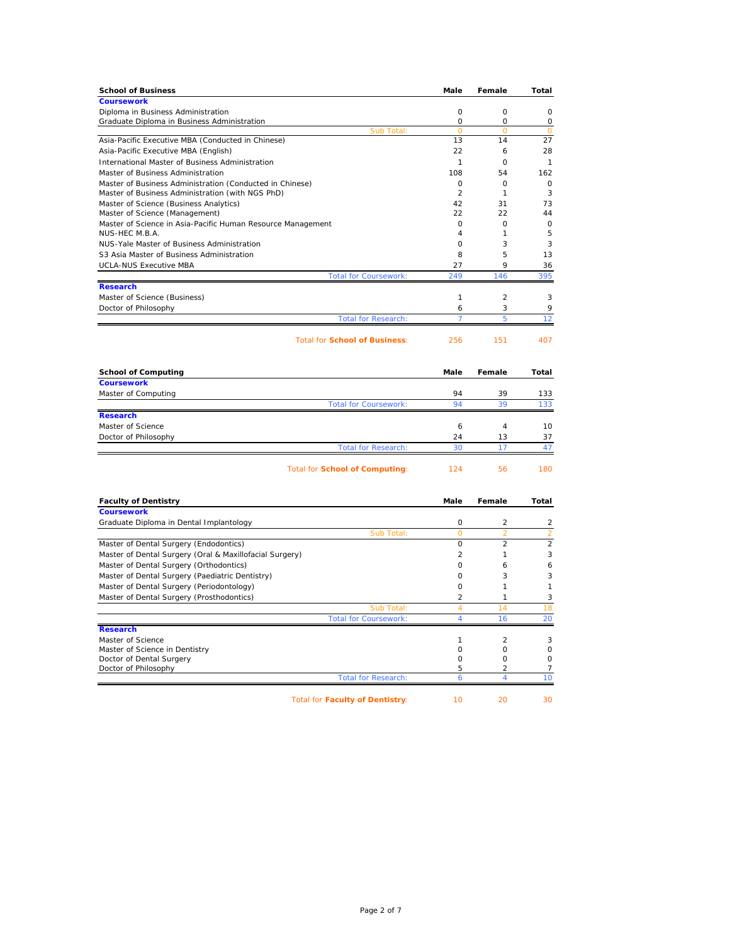| <b>School of Business</b>                                   | Male           | Female   | Total    |
|-------------------------------------------------------------|----------------|----------|----------|
| <b>Coursework</b>                                           |                |          |          |
| Diploma in Business Administration                          | $\Omega$       | $\Omega$ | $\Omega$ |
| Graduate Diploma in Business Administration                 | $\Omega$       | $\Omega$ | 0        |
| Sub Total:                                                  | $\Omega$       | $\Omega$ | $\Omega$ |
| Asia-Pacific Executive MBA (Conducted in Chinese)           | 13             | 14       | 27       |
| Asia-Pacific Executive MBA (English)                        | 22             | 6        | 28       |
| International Master of Business Administration             | 1              | $\Omega$ | 1        |
| Master of Business Administration                           | 108            | 54       | 162      |
| Master of Business Administration (Conducted in Chinese)    | $\Omega$       | $\Omega$ | $\Omega$ |
| Master of Business Administration (with NGS PhD)            | $\mathfrak{p}$ | 1        | 3        |
| Master of Science (Business Analytics)                      | 42             | 31       | 73       |
| Master of Science (Management)                              | 22             | 22       | 44       |
| Master of Science in Asia-Pacific Human Resource Management | 0              | $\Omega$ | $\Omega$ |
| NUS-HEC M.B.A.                                              | 4              |          | 5        |
| NUS-Yale Master of Business Administration                  | 0              | 3        | 3        |
| S3 Asia Master of Business Administration                   | 8              | 5        | 13       |
| <b>UCLA-NUS Executive MBA</b>                               | 27             | 9        | 36       |
| <b>Total for Coursework:</b>                                | 249            | 146      | 395      |
| <b>Research</b>                                             |                |          |          |
| Master of Science (Business)                                | 1              | 2        | 3        |
| Doctor of Philosophy                                        | 6              | 3        | 9        |
| <b>Total for Research:</b>                                  |                | 5        | 12       |
| <b>Total for School of Business:</b>                        | 256            | 151      | 407      |
|                                                             |                |          |          |

| <b>School of Computing</b> |                              | Male | Female | Total |
|----------------------------|------------------------------|------|--------|-------|
| <b>Coursework</b>          |                              |      |        |       |
| Master of Computing        |                              | 94   | 39     | 133   |
|                            | <b>Total for Coursework:</b> | 94   | 39     | 133   |
| <b>Research</b>            |                              |      |        |       |
| Master of Science          |                              | 6    | 4      | 10    |
| Doctor of Philosophy       |                              | 24   | 13     | 37    |
|                            | <b>Total for Research:</b>   | 30   |        | 47    |
|                            |                              |      |        |       |

Total for **School of Computing**: 124 56 180

| <b>Faculty of Dentistry</b>                             | Male           | Female         | Total                    |
|---------------------------------------------------------|----------------|----------------|--------------------------|
| <b>Coursework</b>                                       |                |                |                          |
| Graduate Diploma in Dental Implantology                 | $\Omega$       | $\mathfrak{p}$ | 2                        |
| Sub Total:                                              | $\Omega$       | $\overline{2}$ |                          |
| Master of Dental Surgery (Endodontics)                  | $\Omega$       | $\mathfrak{D}$ | $\overline{\mathcal{L}}$ |
| Master of Dental Surgery (Oral & Maxillofacial Surgery) | $\mathfrak{p}$ |                | 3                        |
| Master of Dental Surgery (Orthodontics)                 | O              | 6              | 6                        |
| Master of Dental Surgery (Paediatric Dentistry)         | O              | 3              | 3                        |
| Master of Dental Surgery (Periodontology)               | O              |                |                          |
| Master of Dental Surgery (Prosthodontics)               | $\mathfrak{p}$ |                | 3                        |
| Sub Total:                                              | 4              | 14             | 18                       |
| <b>Total for Coursework:</b>                            | 4              | 16             | 20                       |
| <b>Research</b>                                         |                |                |                          |
| Master of Science                                       |                | 2              |                          |
| Master of Science in Dentistry                          |                | Ω              | O                        |
| Doctor of Dental Surgery                                |                | Ω              | Ω                        |
| Doctor of Philosophy                                    | 5              | 2              |                          |
| <b>Total for Research:</b>                              | 6              | 4              | 10                       |
| <b>Total for Faculty of Dentistry:</b>                  | 10             | 20             | 30                       |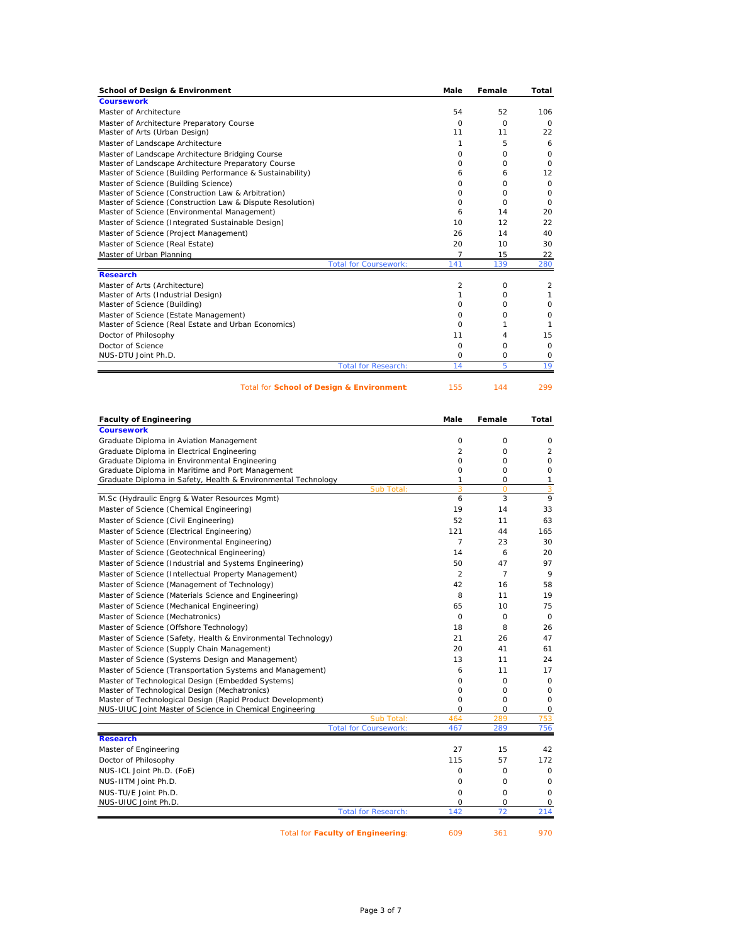| <b>School of Design &amp; Environment</b>                 |                              | Male           | Female   | Total    |
|-----------------------------------------------------------|------------------------------|----------------|----------|----------|
| <b>Coursework</b>                                         |                              |                |          |          |
| Master of Architecture                                    |                              | 54             | 52       | 106      |
| Master of Architecture Preparatory Course                 |                              | $\Omega$       | $\Omega$ | $\Omega$ |
| Master of Arts (Urban Design)                             |                              | 11             | 11       | 22       |
| Master of Landscape Architecture                          |                              | 1              | 5        | 6        |
| Master of Landscape Architecture Bridging Course          |                              | 0              | 0        | $\Omega$ |
| Master of Landscape Architecture Preparatory Course       |                              | O              | O        | $\circ$  |
| Master of Science (Building Performance & Sustainability) |                              | 6              | 6        | 12       |
| Master of Science (Building Science)                      |                              | $\Omega$       | $\Omega$ | $\circ$  |
| Master of Science (Construction Law & Arbitration)        |                              | O              | $\Omega$ | $\circ$  |
| Master of Science (Construction Law & Dispute Resolution) |                              | O              | $\Omega$ | $\Omega$ |
| Master of Science (Environmental Management)              |                              | 6              | 14       | 20       |
| Master of Science (Integrated Sustainable Design)         |                              | 10             | 12       | 22       |
| Master of Science (Project Management)                    |                              | 26             | 14       | 40       |
| Master of Science (Real Estate)                           |                              | 20             | 10       | 30       |
| Master of Urban Planning                                  |                              | $\overline{7}$ | 15       | 22       |
|                                                           | <b>Total for Coursework:</b> | 141            | 139      | 280      |
| <b>Research</b>                                           |                              |                |          |          |
| Master of Arts (Architecture)                             |                              | 2              | $\Omega$ | 2        |
| Master of Arts (Industrial Design)                        |                              |                | 0        |          |
| Master of Science (Building)                              |                              | $\Omega$       | $\Omega$ | O        |
| Master of Science (Estate Management)                     |                              | $\Omega$       | O        | 0        |
| Master of Science (Real Estate and Urban Economics)       |                              | $\Omega$       |          | 1        |
| Doctor of Philosophy                                      |                              | 11             | 4        | 15       |
| Doctor of Science                                         |                              | $\Omega$       | $\Omega$ | $\circ$  |
| NUS-DTU Joint Ph.D.                                       |                              | $\Omega$       | 0        | 0        |
|                                                           | <b>Total for Research:</b>   | 14             | 5        | 19       |
|                                                           |                              |                |          |          |

Total for **School of Design & Environment**: 155 144 299

|                                                               | Male           | Female         | Total          |
|---------------------------------------------------------------|----------------|----------------|----------------|
| <b>Coursework</b>                                             |                |                |                |
| Graduate Diploma in Aviation Management                       | 0              | 0              | 0              |
| Graduate Diploma in Electrical Engineering                    | $\overline{c}$ | 0              | $\overline{2}$ |
| Graduate Diploma in Environmental Engineering                 | $\Omega$       | $\Omega$       | $\circ$        |
| Graduate Diploma in Maritime and Port Management              | $\circ$        | 0              | $\mathbf 0$    |
| Graduate Diploma in Safety, Health & Environmental Technology | 1              | 0              | $\mathbf{1}$   |
| Sub Total:                                                    | 3              | $\Omega$       | 3              |
| M.Sc (Hydraulic Engrg & Water Resources Mgmt)                 | 6              | 3              | 9              |
| Master of Science (Chemical Engineering)                      | 19             | 14             | 33             |
| Master of Science (Civil Engineering)                         | 52             | 11             | 63             |
| Master of Science (Electrical Engineering)                    | 121            | 44             | 165            |
| Master of Science (Environmental Engineering)                 | $\overline{7}$ | 23             | 30             |
| Master of Science (Geotechnical Engineering)                  | 14             | 6              | 20             |
| Master of Science (Industrial and Systems Engineering)        | 50             | 47             | 97             |
| Master of Science (Intellectual Property Management)          | $\mathfrak{D}$ | $\overline{7}$ | 9              |
| Master of Science (Management of Technology)                  | 42             | 16             | 58             |
| Master of Science (Materials Science and Engineering)         | 8              | 11             | 19             |
| Master of Science (Mechanical Engineering)                    | 65             | 10             | 75             |
| Master of Science (Mechatronics)                              | $\Omega$       | $\Omega$       | $\mathbf 0$    |
| Master of Science (Offshore Technology)                       | 18             | 8              | 26             |
| Master of Science (Safety, Health & Environmental Technology) | 21             | 26             | 47             |
| Master of Science (Supply Chain Management)                   | 20             | 41             | 61             |
| Master of Science (Systems Design and Management)             | 13             | 11             | 24             |
| Master of Science (Transportation Systems and Management)     | 6              | 11             | 17             |
| Master of Technological Design (Embedded Systems)             | $\circ$        | $\circ$        | $\mathbf 0$    |
| Master of Technological Design (Mechatronics)                 | $\circ$        | $\circ$        | $\mathbf 0$    |
| Master of Technological Design (Rapid Product Development)    | $\circ$        | $\circ$        | $\mathbf 0$    |
| NUS-UIUC Joint Master of Science in Chemical Engineering      | $\circ$        | $\circ$        | $\mathbf 0$    |
| Sub Total:                                                    | 464            | 289            | 753            |
| <b>Total for Coursework:</b>                                  | 467            | 289            | 756            |
| <b>Research</b>                                               |                |                |                |
| Master of Engineering                                         | 27             | 15             | 42             |
| Doctor of Philosophy                                          | 115            | 57             | 172            |
| NUS-ICL Joint Ph.D. (FoE)                                     | $\circ$        | $\circ$        | $\circ$        |
| NUS-IITM Joint Ph.D.                                          | $\circ$        | 0              | $\circ$        |
| NUS-TU/E Joint Ph.D.                                          | $\circ$        | $\circ$        | 0              |
| NUS-UIUC Joint Ph.D.                                          | $\Omega$       | O              | 0              |
| <b>Total for Research:</b>                                    | 142            | 72             | 214            |

Total for **Faculty of Engineering**: 609 361 970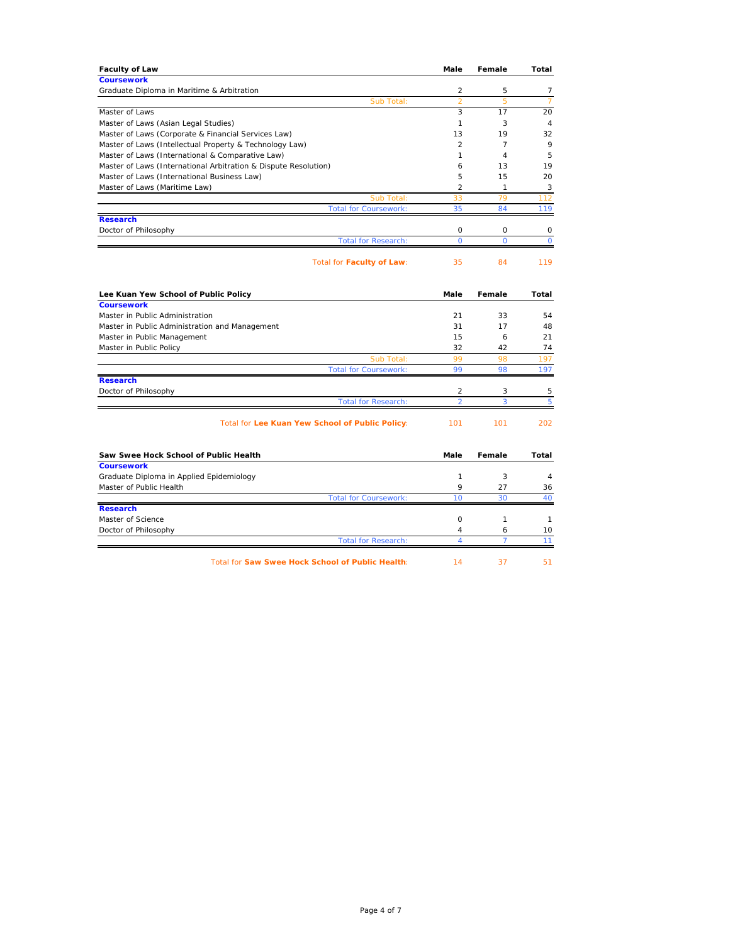| <b>Faculty of Law</b>                                           | Male           | Female         | Total          |
|-----------------------------------------------------------------|----------------|----------------|----------------|
| <b>Coursework</b>                                               |                |                |                |
| Graduate Diploma in Maritime & Arbitration                      | 2              | 5              | $\overline{7}$ |
| Sub Total:                                                      | $\overline{2}$ | 5              | $\overline{7}$ |
| Master of Laws                                                  | 3              | 17             | 20             |
| Master of Laws (Asian Legal Studies)                            | $\mathbf{1}$   | 3              | $\overline{4}$ |
| Master of Laws (Corporate & Financial Services Law)             | 13             | 19             | 32             |
| Master of Laws (Intellectual Property & Technology Law)         | $\mathfrak{p}$ | $\overline{7}$ | 9              |
| Master of Laws (International & Comparative Law)                | $\mathbf{1}$   | $\overline{4}$ | 5              |
| Master of Laws (International Arbitration & Dispute Resolution) | 6              | 13             | 19             |
| Master of Laws (International Business Law)                     | 5              | 15             | 20             |
| Master of Laws (Maritime Law)                                   | 2              | $\mathbf{1}$   | 3              |
| Sub Total:                                                      | 33             | 79             | 112            |
| <b>Total for Coursework:</b>                                    | 35             | 84             | 119            |
| <b>Research</b>                                                 |                |                |                |
| Doctor of Philosophy                                            | 0              | $\circ$        | $\circ$        |
| <b>Total for Research:</b>                                      | $\Omega$       | $\overline{O}$ | $\Omega$       |
| Total for Faculty of Law:                                       | 35             | 84             | 119            |
| Lee Kuan Yew School of Public Policy                            | Male           | Female         | Total          |
| <b>Coursework</b>                                               |                |                |                |
| Master in Public Administration                                 | 21             | 33             | 54             |
| Master in Public Administration and Management                  | 31             | 17             | 48             |
| Master in Public Management                                     | 15             | 6              | 21             |
| Master in Public Policy                                         | 32             | 42             | 74             |
| Sub Total:                                                      | 99             | 98             | 197            |
| <b>Total for Coursework:</b>                                    | 99             | 98             | 197            |
| <b>Research</b>                                                 |                |                |                |
| Doctor of Philosophy                                            | $\overline{2}$ | 3              | 5              |
| <b>Total for Research:</b>                                      | $\overline{a}$ | 3              | 5              |
| Total for Lee Kuan Yew School of Public Policy:                 | 101            | 101            | 202            |
| Saw Swee Hock School of Public Health                           | Male           | Female         | Total          |
| <b>Coursework</b>                                               |                |                |                |
| Graduate Diploma in Applied Epidemiology                        | 1              | 3              | 4              |
| Master of Public Health                                         | 9              | 27             | 36             |
| <b>Total for Coursework:</b>                                    | 10             | 30             | 40             |
| <b>Research</b>                                                 |                |                |                |
| Master of Science                                               | 0              | 1              | $\mathbf{1}$   |
| Doctor of Philosophy                                            | $\overline{4}$ | 6              | 10             |
| <b>Total for Research:</b>                                      | 4              | 7              | 11             |
| Total for Saw Swee Hock School of Public Health:                | 14             | 37             | 51             |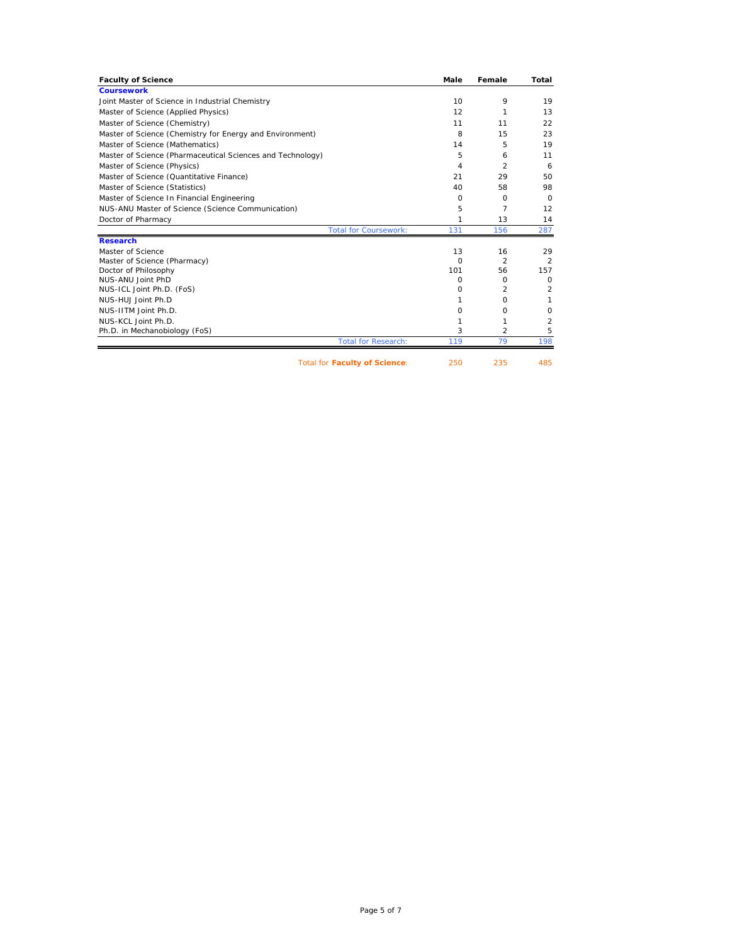| <b>Faculty of Science</b>                                  | Male            | Female         | Total          |
|------------------------------------------------------------|-----------------|----------------|----------------|
| <b>Coursework</b>                                          |                 |                |                |
| Joint Master of Science in Industrial Chemistry            | 10 <sup>1</sup> | 9              | 19             |
| Master of Science (Applied Physics)                        | 12              | 1              | 13             |
| Master of Science (Chemistry)                              | 11              | 11             | 22             |
| Master of Science (Chemistry for Energy and Environment)   | 8               | 15             | 23             |
| Master of Science (Mathematics)                            | 14              | 5              | 19             |
| Master of Science (Pharmaceutical Sciences and Technology) | 5               | 6              | 11             |
| Master of Science (Physics)                                | 4               | $\overline{2}$ | 6              |
| Master of Science (Quantitative Finance)                   | 21              | 29             | 50             |
| Master of Science (Statistics)                             | 40              | 58             | 98             |
| Master of Science In Financial Engineering                 | $\Omega$        | $\Omega$       | $\Omega$       |
| NUS-ANU Master of Science (Science Communication)          | 5               | $\overline{7}$ | 12             |
| Doctor of Pharmacy                                         | 1               | 13             | 14             |
| <b>Total for Coursework:</b>                               | 131             | 156            | 287            |
| <b>Research</b>                                            |                 |                |                |
| Master of Science                                          | 13              | 16             | 29             |
| Master of Science (Pharmacy)                               | $\Omega$        | $\mathfrak{p}$ | $\overline{2}$ |
| Doctor of Philosophy                                       | 101             | 56             | 157            |
| NUS-ANU Joint PhD                                          | 0               | 0              | $\circ$        |
| NUS-ICL Joint Ph.D. (FoS)                                  | 0               | 2              | 2              |
| NUS-HUJ Joint Ph.D                                         | 1               | $\Omega$       | 1              |
| NUS-IITM Joint Ph.D.                                       | 0               | O              | 0              |
| NUS-KCL Joint Ph.D.                                        | 1               | 1              | 2              |
| Ph.D. in Mechanobiology (FoS)                              | 3               | $\overline{2}$ | 5              |
| <b>Total for Research:</b>                                 | 119             | 79             | 198            |
| <b>Total for Faculty of Science:</b>                       | 250             | 235            | 485            |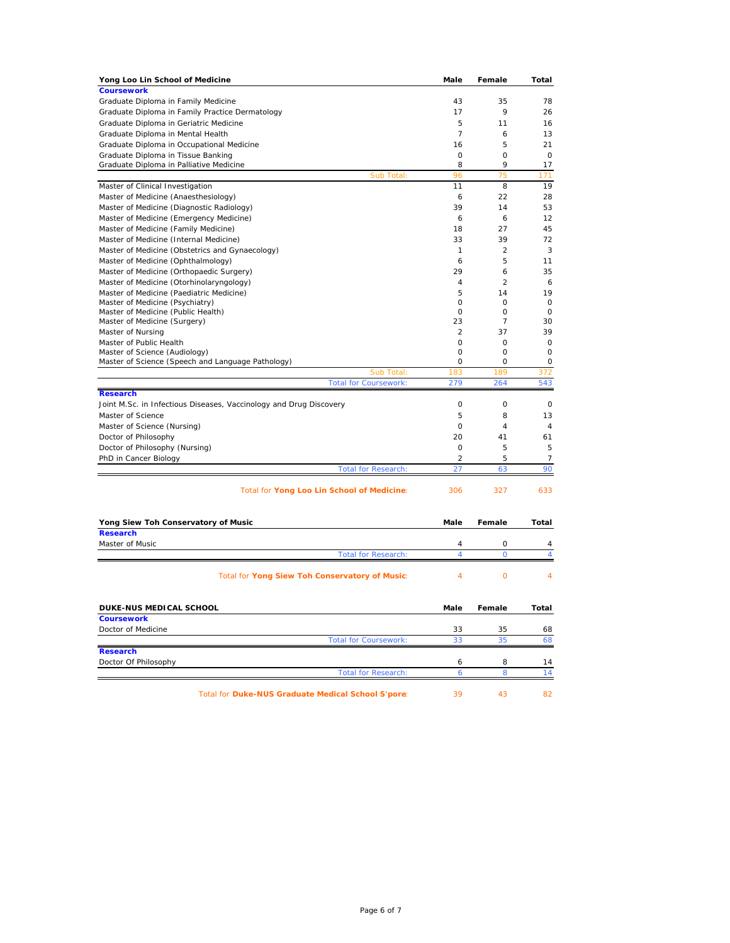| Yong Loo Lin School of Medicine                                       | Male           | Female         | Total          |
|-----------------------------------------------------------------------|----------------|----------------|----------------|
| <b>Coursework</b>                                                     |                |                |                |
| Graduate Diploma in Family Medicine                                   | 43             | 35             | 78             |
| Graduate Diploma in Family Practice Dermatology                       | 17             | 9              | 26             |
| Graduate Diploma in Geriatric Medicine                                | 5              | 11             | 16             |
| Graduate Diploma in Mental Health                                     | $\overline{7}$ | 6              | 13             |
| Graduate Diploma in Occupational Medicine                             | 16             | 5              | 21             |
| Graduate Diploma in Tissue Banking                                    | 0              | 0              | 0              |
| Graduate Diploma in Palliative Medicine                               | 8              | 9<br>75        | 17             |
| Sub Total:                                                            | 96<br>11       | 8              | 171<br>19      |
| Master of Clinical Investigation                                      | 6              | 22             | 28             |
| Master of Medicine (Anaesthesiology)                                  | 39             | 14             | 53             |
| Master of Medicine (Diagnostic Radiology)                             |                |                | 12             |
| Master of Medicine (Emergency Medicine)                               | 6              | 6<br>27        |                |
| Master of Medicine (Family Medicine)                                  | 18             | 39             | 45             |
| Master of Medicine (Internal Medicine)                                | 33             |                | 72             |
| Master of Medicine (Obstetrics and Gynaecology)                       | $\mathbf{1}$   | 2              | 3              |
| Master of Medicine (Ophthalmology)                                    | 6              | 5              | 11             |
| Master of Medicine (Orthopaedic Surgery)                              | 29             | 6              | 35             |
| Master of Medicine (Otorhinolaryngology)                              | 4              | $\overline{c}$ | 6              |
| Master of Medicine (Paediatric Medicine)                              | 5<br>0         | 14<br>0        | 19             |
| Master of Medicine (Psychiatry)<br>Master of Medicine (Public Health) | $\Omega$       | 0              | 0<br>0         |
| Master of Medicine (Surgery)                                          | 23             | 7              | 30             |
| Master of Nursing                                                     | 2              | 37             | 39             |
| Master of Public Health                                               | $\circ$        | 0              | $\mathbf 0$    |
| Master of Science (Audiology)                                         | 0              | 0              | 0              |
| Master of Science (Speech and Language Pathology)                     | 0              | 0              | 0              |
| Sub Total:                                                            | 183            | 189            | 372            |
| <b>Total for Coursework:</b>                                          | 279            | 264            | 543            |
| <b>Research</b>                                                       |                |                |                |
| Joint M.Sc. in Infectious Diseases, Vaccinology and Drug Discovery    | 0              | 0              | 0              |
| Master of Science                                                     | 5              | 8              | 13             |
| Master of Science (Nursing)                                           | 0              | $\overline{4}$ | $\overline{4}$ |
| Doctor of Philosophy                                                  | 20             | 41             | 61             |
| Doctor of Philosophy (Nursing)                                        | $\circ$        | 5              | 5              |
| PhD in Cancer Biology                                                 | 2              | 5              | $\overline{7}$ |
| <b>Total for Research:</b>                                            | 27             | 63             | 90             |
| Total for Yong Loo Lin School of Medicine:                            | 306            | 327            | 633            |
| Yong Siew Toh Conservatory of Music                                   | Male           | Female         | Total          |
| <b>Research</b>                                                       |                |                |                |
| Master of Music                                                       | 4              | 0              | 4              |
| <b>Total for Research:</b>                                            | 4              | 0              | $\overline{4}$ |
| Total for Yong Siew Toh Conservatory of Music:                        | 4              | 0              | 4              |
| <b>DUKE-NUS MEDICAL SCHOOL</b>                                        | mare           | remale         | ιοται          |
| <b>Coursework</b>                                                     |                |                |                |
| Doctor of Medicine                                                    | 33             | 35             | 68             |
| <b>Total for Coursework:</b>                                          | 33             | 35             | 68             |
| <b>Research</b>                                                       |                |                |                |
| Doctor Of Philosophy                                                  | 6              | 8              | 14             |
| <b>Total for Research:</b>                                            | 6              | 8              | 14             |
| Total for Duke-NUS Graduate Medical School S'pore:                    | 39             | 43             | 82             |